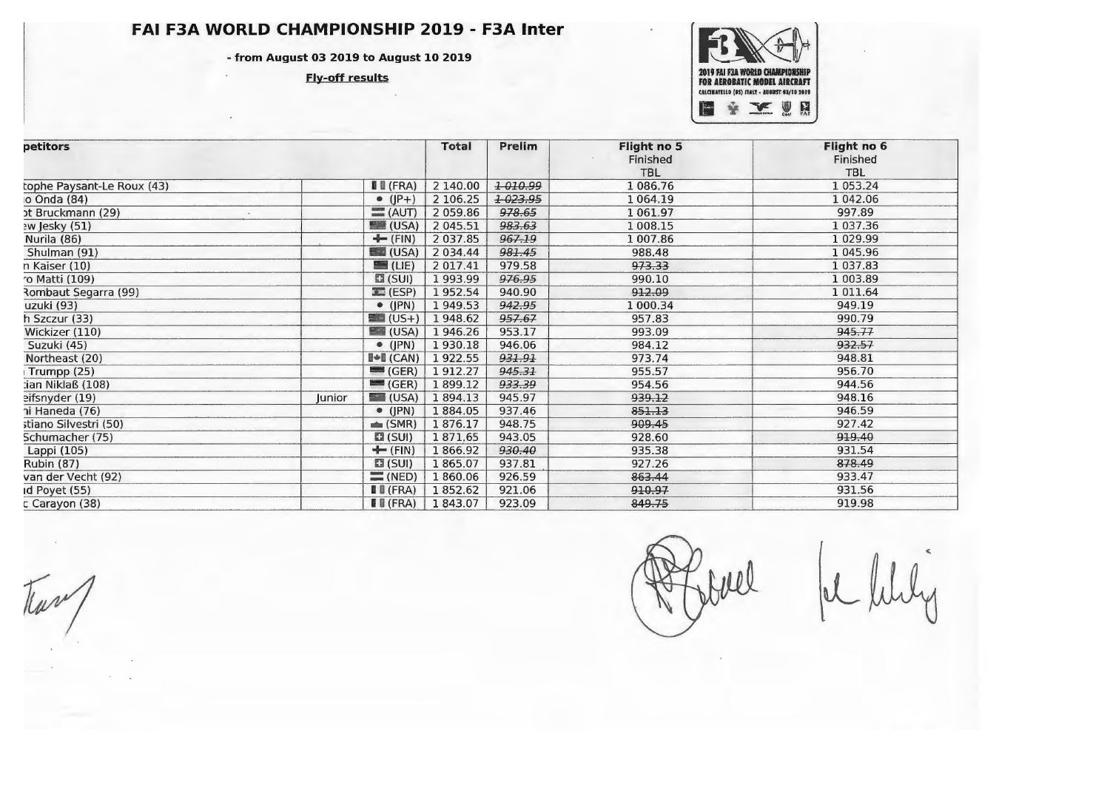## FAI F3A WORLD CHAMPIONSHIP 2019 - F3A Inter

- from August 03 2019 to August 10 2019

**Fly-off results** 



| petitors                   |        |                                             | <b>Total</b> | Prelim  | Flight no 5<br>Finished<br>TBL | Flight no 6<br>Finished<br><b>TBL</b> |
|----------------------------|--------|---------------------------------------------|--------------|---------|--------------------------------|---------------------------------------|
| tophe Paysant-Le Roux (43) |        | $\blacksquare$ (FRA)                        | 2 140.00     | 1010.99 | 1 086.76                       | 1 053.24                              |
| o Onda (84)                |        | $\bullet$ ( $ P+$ )                         | 2 106.25     | +023.95 | 1064.19                        | 1 042.06                              |
| ot Bruckmann (29)          |        | $=$ (AUT)                                   | 2 059.86     | 978.65  | 1061.97                        | 997.89                                |
| ew Jesky (51)              |        | $\blacksquare$ (USA)                        | 2 045.51     | 983.63  | 1008.15                        | 1 037.36                              |
| Nurila (86)                |        | $\div$ (FIN)                                | 2 037.85     | 967.19  | 1 007.86                       | 1 0 29.99                             |
| Shulman (91)               |        | $\blacksquare$ (USA)                        | 2 0 3 4.44   | 981.45  | 988.48                         | 1 045.96                              |
| n Kaiser (10)              |        | $\blacksquare$ (LIE)                        | 2 017.41     | 979.58  | 973.33                         | 1 037.83                              |
| o Matti (109)              |        | $\Xi$ (SUI)                                 | 1993.99      | 976.95  | 990.10                         | 1 003.89                              |
| Rombaut Segarra (99)       |        | $\blacksquare$ (ESP)                        | 1952.54      | 940.90  | 912.09                         | 1 011.64                              |
| uzuki (93)                 |        | $\bullet$ (JPN)                             | 1949.53      | 942.95  | 1 000.34                       | 949.19                                |
| h Szczur (33)              |        | $\blacksquare$ (US+)                        | 1948.62      | 957.67  | 957.83                         | 990.79                                |
| Wickizer (110)             |        | $\blacksquare$ (USA)                        | 1946.26      | 953.17  | 993.09                         | 945.77                                |
| Suzuki (45)                |        | $\bullet$ (JPN)                             | 1930.18      | 946.06  | 984.12                         | 932.57                                |
| Northeast (20)             |        | $\blacksquare \triangle \blacksquare$ (CAN) | 1922.55      | 931.91  | 973.74                         | 948.81                                |
| Trumpp (25)                |        | $\blacksquare$ (GER)                        | 1912.27      | 945.31  | 955.57                         | 956.70                                |
| tian Niklaß (108)          |        | $\equiv$ (GER)                              | 1899.12      | 933.39  | 954.56                         | 944.56                                |
| eifsnyder (19)             | Iunior | $\Box$ (USA)                                | 1894.13      | 945.97  | 939,12                         | 948.16                                |
| ni Haneda (76)             |        | $\bullet$ (JPN)                             | 1884.05      | 937.46  | 851.13                         | 946.59                                |
| stiano Silvestri (50)      |        | $\triangleq$ (SMR)                          | 1876.17      | 948.75  | 909.45                         | 927.42                                |
| Schumacher (75)            |        | $\Box$ (SUI)                                | 1871,65      | 943.05  | 928.60                         | 919.40                                |
| Lappi (105)                |        | $+$ (FIN)                                   | 1866.92      | 930.40  | 935.38                         | 931.54                                |
| <b>Rubin (87)</b>          |        | $\Xi$ (SUI)                                 | 1865.07      | 937.81  | 927.26                         | 878.49                                |
| van der Vecht (92)         |        | $\equiv$ (NED)                              | 1860.06      | 926.59  | 863.44                         | 933.47                                |
| Id Poyet (55)              |        | $\blacksquare$ $\blacksquare$ (FRA)         | 1852.62      | 921.06  | 910.97                         | 931.56                                |
| c Carayon (38)             |        | $\blacksquare$ (FRA)                        | 1843.07      | 923.09  | 849.75                         | 919.98                                |

Juel